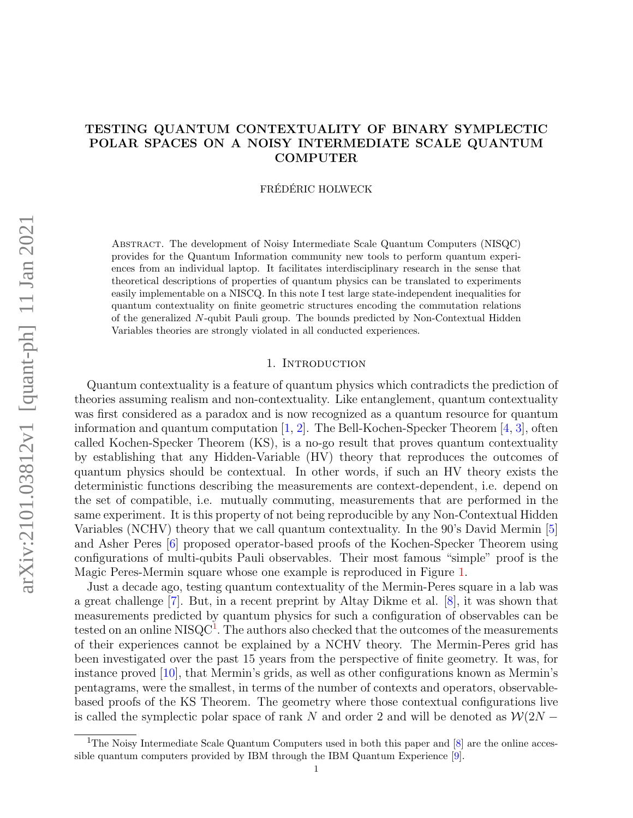# TESTING QUANTUM CONTEXTUALITY OF BINARY SYMPLECTIC POLAR SPACES ON A NOISY INTERMEDIATE SCALE QUANTUM COMPUTER

FRÉDÉRIC HOLWECK

Abstract. The development of Noisy Intermediate Scale Quantum Computers (NISQC) provides for the Quantum Information community new tools to perform quantum experiences from an individual laptop. It facilitates interdisciplinary research in the sense that theoretical descriptions of properties of quantum physics can be translated to experiments easily implementable on a NISCQ. In this note I test large state-independent inequalities for quantum contextuality on finite geometric structures encoding the commutation relations of the generalized N-qubit Pauli group. The bounds predicted by Non-Contextual Hidden Variables theories are strongly violated in all conducted experiences.

# 1. INTRODUCTION

Quantum contextuality is a feature of quantum physics which contradicts the prediction of theories assuming realism and non-contextuality. Like entanglement, quantum contextuality was first considered as a paradox and is now recognized as a quantum resource for quantum information and quantum computation  $[1, 2]$  $[1, 2]$  $[1, 2]$ . The Bell-Kochen-Specker Theorem  $[4, 3]$  $[4, 3]$  $[4, 3]$ , often called Kochen-Specker Theorem (KS), is a no-go result that proves quantum contextuality by establishing that any Hidden-Variable (HV) theory that reproduces the outcomes of quantum physics should be contextual. In other words, if such an HV theory exists the deterministic functions describing the measurements are context-dependent, i.e. depend on the set of compatible, i.e. mutually commuting, measurements that are performed in the same experiment. It is this property of not being reproducible by any Non-Contextual Hidden Variables (NCHV) theory that we call quantum contextuality. In the 90's David Mermin [\[5\]](#page-10-4) and Asher Peres [\[6\]](#page-10-5) proposed operator-based proofs of the Kochen-Specker Theorem using configurations of multi-qubits Pauli observables. Their most famous "simple" proof is the Magic Peres-Mermin square whose one example is reproduced in Figure [1.](#page-1-0)

Just a decade ago, testing quantum contextuality of the Mermin-Peres square in a lab was a great challenge [\[7\]](#page-10-6). But, in a recent preprint by Altay Dikme et al. [\[8\]](#page-10-7), it was shown that measurements predicted by quantum physics for such a configuration of observables can be tested on an online NISQC<sup>[1](#page-0-0)</sup>. The authors also checked that the outcomes of the measurements of their experiences cannot be explained by a NCHV theory. The Mermin-Peres grid has been investigated over the past 15 years from the perspective of finite geometry. It was, for instance proved [\[10\]](#page-10-8), that Mermin's grids, as well as other configurations known as Mermin's pentagrams, were the smallest, in terms of the number of contexts and operators, observablebased proofs of the KS Theorem. The geometry where those contextual configurations live is called the symplectic polar space of rank N and order 2 and will be denoted as  $\mathcal{W}(2N -$ 

<span id="page-0-0"></span><sup>&</sup>lt;sup>1</sup>The Noisy Intermediate Scale Quantum Computers used in both this paper and  $[8]$  are the online accessible quantum computers provided by IBM through the IBM Quantum Experience [\[9\]](#page-10-9).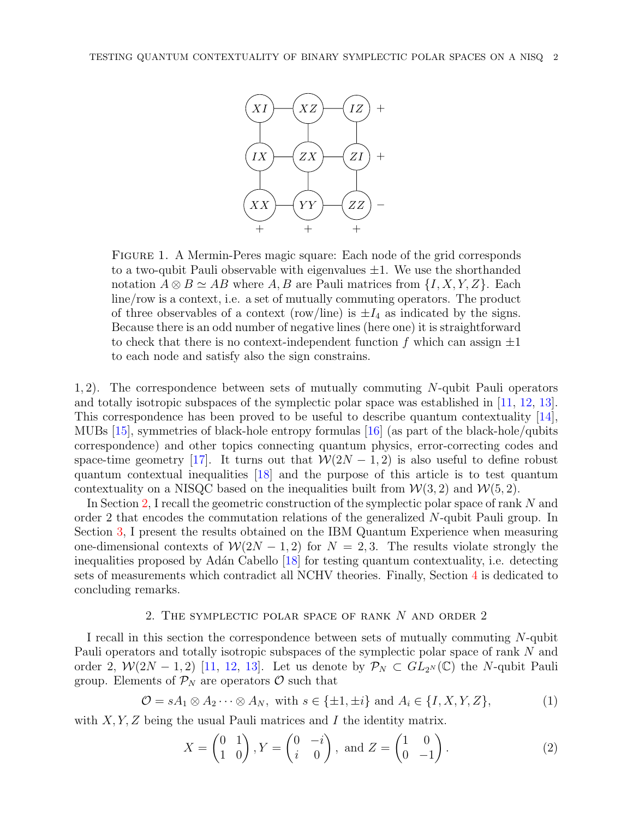

<span id="page-1-0"></span>Figure 1. A Mermin-Peres magic square: Each node of the grid corresponds to a two-qubit Pauli observable with eigenvalues  $\pm 1$ . We use the shorthanded notation  $A \otimes B \simeq AB$  where  $A, B$  are Pauli matrices from  $\{I, X, Y, Z\}$ . Each line/row is a context, i.e. a set of mutually commuting operators. The product of three observables of a context (row/line) is  $\pm I_4$  as indicated by the signs. Because there is an odd number of negative lines (here one) it is straightforward to check that there is no context-independent function f which can assign  $\pm 1$ to each node and satisfy also the sign constrains.

1, 2). The correspondence between sets of mutually commuting N-qubit Pauli operators and totally isotropic subspaces of the symplectic polar space was established in [\[11,](#page-10-10) [12,](#page-10-11) [13\]](#page-10-12). This correspondence has been proved to be useful to describe quantum contextuality [\[14\]](#page-10-13), MUBs [\[15\]](#page-10-14), symmetries of black-hole entropy formulas [\[16\]](#page-10-15) (as part of the black-hole/qubits correspondence) and other topics connecting quantum physics, error-correcting codes and space-time geometry [\[17\]](#page-10-16). It turns out that  $W(2N-1, 2)$  is also useful to define robust quantum contextual inequalities [\[18\]](#page-10-17) and the purpose of this article is to test quantum contextuality on a NISQC based on the inequalities built from  $W(3, 2)$  and  $W(5, 2)$ .

In Section [2,](#page-1-1) I recall the geometric construction of the symplectic polar space of rank N and order 2 that encodes the commutation relations of the generalized N-qubit Pauli group. In Section [3,](#page-5-0) I present the results obtained on the IBM Quantum Experience when measuring one-dimensional contexts of  $\mathcal{W}(2N-1,2)$  for  $N=2,3$ . The results violate strongly the inequalities proposed by Adán Cabello [\[18\]](#page-10-17) for testing quantum contextuality, i.e. detecting sets of measurements which contradict all NCHV theories. Finally, Section [4](#page-9-0) is dedicated to concluding remarks.

### 2. The symplectic polar space of rank N and order 2

<span id="page-1-1"></span>I recall in this section the correspondence between sets of mutually commuting N-qubit Pauli operators and totally isotropic subspaces of the symplectic polar space of rank N and order 2,  $W(2N-1,2)$  [\[11,](#page-10-10) [12,](#page-10-11) [13\]](#page-10-12). Let us denote by  $\mathcal{P}_N \subset GL_{2^N}(\mathbb{C})$  the N-qubit Pauli group. Elements of  $P_N$  are operators  $\mathcal O$  such that

<span id="page-1-2"></span>
$$
\mathcal{O} = sA_1 \otimes A_2 \cdots \otimes A_N, \text{ with } s \in \{\pm 1, \pm i\} \text{ and } A_i \in \{I, X, Y, Z\},\tag{1}
$$

with  $X, Y, Z$  being the usual Pauli matrices and I the identity matrix.

$$
X = \begin{pmatrix} 0 & 1 \\ 1 & 0 \end{pmatrix}, Y = \begin{pmatrix} 0 & -i \\ i & 0 \end{pmatrix}, \text{ and } Z = \begin{pmatrix} 1 & 0 \\ 0 & -1 \end{pmatrix}.
$$
 (2)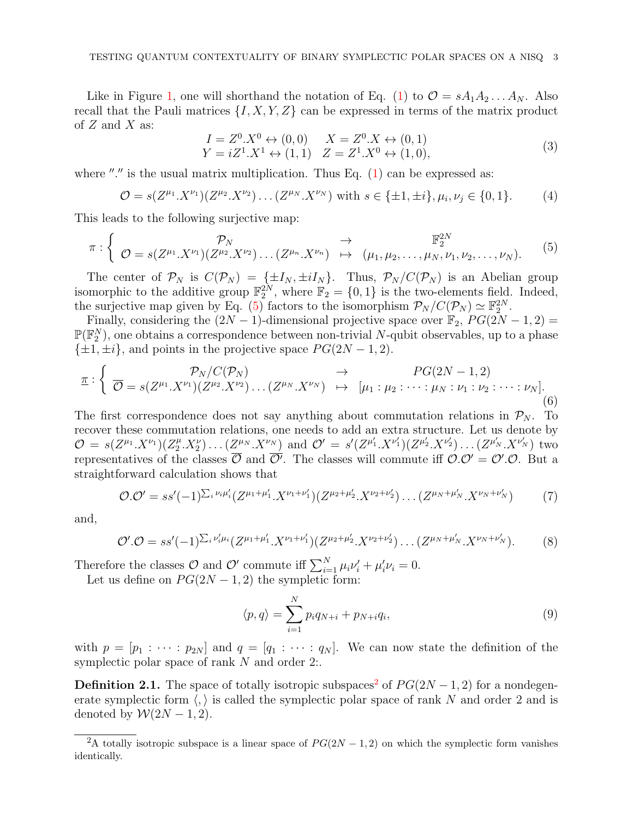Like in Figure [1,](#page-1-0) one will shorthand the notation of Eq. [\(1\)](#page-1-2) to  $\mathcal{O} = sA_1A_2 \dots A_N$ . Also recall that the Pauli matrices  $\{I, X, Y, Z\}$  can be expressed in terms of the matrix product of  $Z$  and  $X$  as:

$$
I = Z^{0}.X^{0} \leftrightarrow (0,0) \qquad X = Z^{0}.X \leftrightarrow (0,1)
$$
  
\n
$$
Y = iZ^{1}.X^{1} \leftrightarrow (1,1) \quad Z = Z^{1}.X^{0} \leftrightarrow (1,0),
$$
  
\n(3)

where "." is the usual matrix multiplication. Thus Eq.  $(1)$  can be expressed as:

$$
\mathcal{O} = s(Z^{\mu_1} \cdot X^{\nu_1}) (Z^{\mu_2} \cdot X^{\nu_2}) \dots (Z^{\mu_N} \cdot X^{\nu_N}) \text{ with } s \in \{\pm 1, \pm i\}, \mu_i, \nu_j \in \{0, 1\}. \tag{4}
$$

This leads to the following surjective map:

<span id="page-2-0"></span>
$$
\pi: \left\{ \begin{array}{ccc} \mathcal{P}_N & \rightarrow & \mathbb{F}_2^{2N} \\ \mathcal{O} = s(Z^{\mu_1} \cdot X^{\nu_1}) (Z^{\mu_2} \cdot X^{\nu_2}) \dots (Z^{\mu_n} \cdot X^{\nu_n}) & \mapsto & (\mu_1, \mu_2, \dots, \mu_N, \nu_1, \nu_2, \dots, \nu_N). \end{array} \right. \tag{5}
$$

The center of  $\mathcal{P}_N$  is  $C(\mathcal{P}_N) = {\pm I_N, \pm iI_N}.$  Thus,  $\mathcal{P}_N/C(\mathcal{P}_N)$  is an Abelian group isomorphic to the additive group  $\mathbb{F}_2^{2N}$ , where  $\mathbb{F}_2 = \{0,1\}$  is the two-elements field. Indeed, the surjective map given by Eq. [\(5\)](#page-2-0) factors to the isomorphism  $\mathcal{P}_N / C(\mathcal{P}_N) \simeq \mathbb{F}_2^{2N}$ .

Finally, considering the  $(2N-1)$ -dimensional projective space over  $\mathbb{F}_2$ ,  $PG(2N-1, 2)$  =  $\mathbb{P}(\mathbb{F}_2^N)$ , one obtains a correspondence between non-trivial N-qubit observables, up to a phase  $\{\pm 1, \pm i\}$ , and points in the projective space  $PG(2N-1, 2)$ .

$$
\underline{\pi}: \left\{ \begin{array}{ccc} \mathcal{P}_N/C(\mathcal{P}_N) & \to & PG(2N-1,2) \\ \overline{\mathcal{O}} = s(Z^{\mu_1}.X^{\nu_1})(Z^{\mu_2}.X^{\nu_2}) \dots (Z^{\mu_N}.X^{\nu_N}) & \mapsto & [\mu_1: \mu_2: \dots: \mu_N: \nu_1: \nu_2: \dots: \nu_N]. \end{array} \right. \tag{6}
$$

The first correspondence does not say anything about commutation relations in  $\mathcal{P}_N$ . To recover these commutation relations, one needs to add an extra structure. Let us denote by  $\mathcal{O} = s(Z^{\mu_1}.X^{\nu_1})(Z_2^{\mu_2})$  $\mathcal{L}^{(\mu)}_2$ .  $X^{\nu}$  ...  $(Z^{\mu}N \cdot X^{\nu}N)$  and  $\mathcal{O}' = s'(Z^{\mu'_1} \cdot X^{\nu'_1})(Z^{\mu'_2} \cdot X^{\nu'_2}) \dots (Z^{\mu'_N} \cdot X^{\nu'_N})$  two representatives of the classes  $\overline{\mathcal{O}}$  and  $\overline{\mathcal{O}}'$ . The classes will commute iff  $\mathcal{O} \cdot \mathcal{O}' = \mathcal{O}' \cdot \mathcal{O}$ . But a straightforward calculation shows that

$$
\mathcal{O}.\mathcal{O}' = ss'(-1)^{\sum_{i} \nu_{i} \mu'_{i}} (Z^{\mu_{1} + \mu'_{1}} \cdot X^{\nu_{1} + \nu'_{1}}) (Z^{\mu_{2} + \mu'_{2}} \cdot X^{\nu_{2} + \nu'_{2}}) \cdots (Z^{\mu_{N} + \mu'_{N}} \cdot X^{\nu_{N} + \nu'_{N}})
$$
(7)

and,

$$
\mathcal{O}'.\mathcal{O}=ss'(-1)^{\sum_i \nu'_i\mu_i} (Z^{\mu_1+\mu'_1}.X^{\nu_1+\nu'_1}) (Z^{\mu_2+\mu'_2}.X^{\nu_2+\nu'_2})\dots (Z^{\mu_N+\mu'_N}.X^{\nu_N+\nu'_N}).
$$
 (8)

Therefore the classes  $\mathcal{O}$  and  $\mathcal{O}'$  commute iff  $\sum_{i=1}^{N} \mu_i \nu'_i + \mu'_i \nu_i = 0$ .

Let us define on  $PG(2N-1, 2)$  the sympletic form:

$$
\langle p, q \rangle = \sum_{i=1}^{N} p_i q_{N+i} + p_{N+i} q_i,
$$
\n(9)

with  $p = [p_1 : \cdots : p_{2N}]$  and  $q = [q_1 : \cdots : q_N]$ . We can now state the definition of the symplectic polar space of rank N and order 2:.

**Definition [2](#page-2-1).1.** The space of totally isotropic subspaces<sup>2</sup> of  $PG(2N-1, 2)$  for a nondegenerate symplectic form  $\langle , \rangle$  is called the symplectic polar space of rank N and order 2 and is denoted by  $W(2N-1, 2)$ .

<span id="page-2-1"></span><sup>&</sup>lt;sup>2</sup>A totally isotropic subspace is a linear space of  $PG(2N-1, 2)$  on which the symplectic form vanishes identically.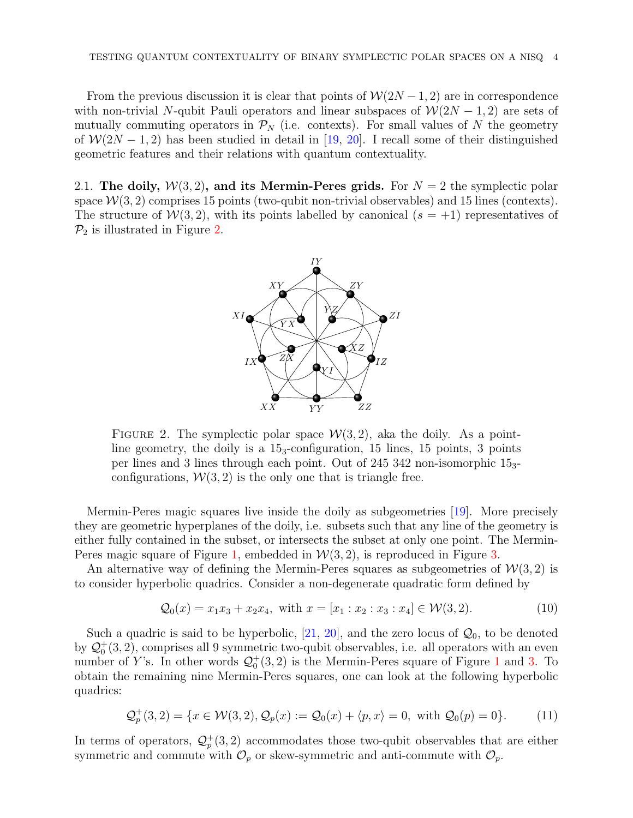From the previous discussion it is clear that points of  $W(2N-1, 2)$  are in correspondence with non-trivial N-qubit Pauli operators and linear subspaces of  $\mathcal{W}(2N-1, 2)$  are sets of mutually commuting operators in  $\mathcal{P}_N$  (i.e. contexts). For small values of N the geometry of  $W(2N-1, 2)$  has been studied in detail in [\[19,](#page-10-18) [20\]](#page-10-19). I recall some of their distinguished geometric features and their relations with quantum contextuality.

2.1. The doily,  $W(3, 2)$ , and its Mermin-Peres grids. For  $N = 2$  the symplectic polar space  $W(3, 2)$  comprises 15 points (two-qubit non-trivial observables) and 15 lines (contexts). The structure of  $W(3, 2)$ , with its points labelled by canonical  $(s = +1)$  representatives of  $\mathcal{P}_2$  is illustrated in Figure [2.](#page-3-0)



<span id="page-3-0"></span>FIGURE 2. The symplectic polar space  $W(3, 2)$ , aka the doily. As a pointline geometry, the doily is a 153-configuration, 15 lines, 15 points, 3 points per lines and 3 lines through each point. Out of 245 342 non-isomorphic 153 configurations,  $W(3, 2)$  is the only one that is triangle free.

Mermin-Peres magic squares live inside the doily as subgeometries [\[19\]](#page-10-18). More precisely they are geometric hyperplanes of the doily, i.e. subsets such that any line of the geometry is either fully contained in the subset, or intersects the subset at only one point. The Mermin-Peres magic square of Figure [1,](#page-1-0) embedded in  $W(3, 2)$ , is reproduced in Figure [3.](#page-4-0)

An alternative way of defining the Mermin-Peres squares as subgeometries of  $W(3, 2)$  is to consider hyperbolic quadrics. Consider a non-degenerate quadratic form defined by

<span id="page-3-1"></span>
$$
Q_0(x) = x_1 x_3 + x_2 x_4, \text{ with } x = [x_1 : x_2 : x_3 : x_4] \in \mathcal{W}(3, 2). \tag{10}
$$

Such a quadric is said to be hyperbolic,  $[21, 20]$  $[21, 20]$  $[21, 20]$ , and the zero locus of  $\mathcal{Q}_0$ , to be denoted by  $\mathcal{Q}_0^+(3,2)$ , comprises all 9 symmetric two-qubit observables, i.e. all operators with an even number of Y's. In other words  $\mathcal{Q}_0^+(3,2)$  is the Mermin-Peres square of Figure [1](#page-1-0) and [3.](#page-4-0) To obtain the remaining nine Mermin-Peres squares, one can look at the following hyperbolic quadrics:

<span id="page-3-2"></span>
$$
\mathcal{Q}_p^+(3,2) = \{x \in \mathcal{W}(3,2), \mathcal{Q}_p(x) := \mathcal{Q}_0(x) + \langle p, x \rangle = 0, \text{ with } \mathcal{Q}_0(p) = 0\}. \tag{11}
$$

In terms of operators,  $\mathcal{Q}_p^+(3,2)$  accommodates those two-qubit observables that are either symmetric and commute with  $\mathcal{O}_p$  or skew-symmetric and anti-commute with  $\mathcal{O}_p$ .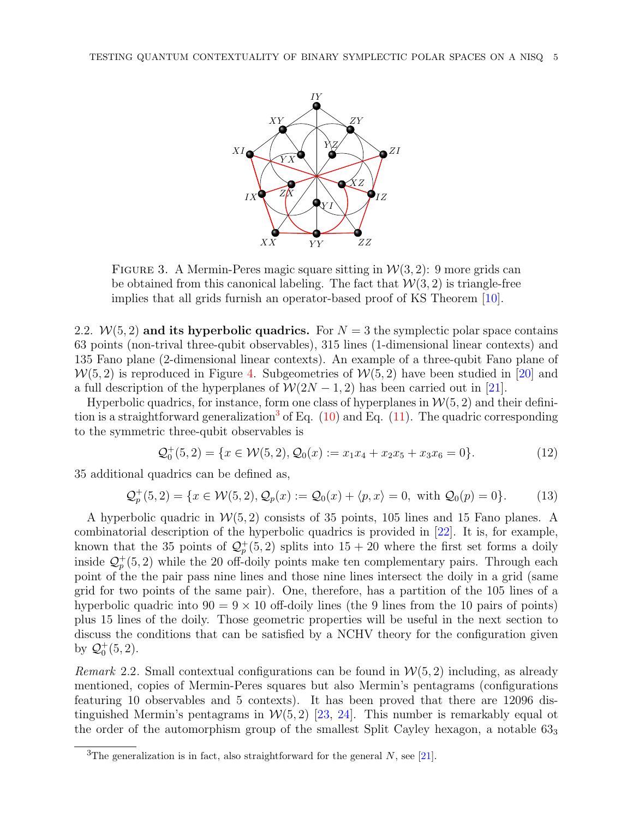

<span id="page-4-0"></span>FIGURE 3. A Mermin-Peres magic square sitting in  $\mathcal{W}(3, 2)$ : 9 more grids can be obtained from this canonical labeling. The fact that  $W(3, 2)$  is triangle-free implies that all grids furnish an operator-based proof of KS Theorem [\[10\]](#page-10-8).

2.2.  $W(5, 2)$  and its hyperbolic quadrics. For  $N = 3$  the symplectic polar space contains 63 points (non-trival three-qubit observables), 315 lines (1-dimensional linear contexts) and 135 Fano plane (2-dimensional linear contexts). An example of a three-qubit Fano plane of  $W(5, 2)$  is reproduced in Figure [4.](#page-5-1) Subgeometries of  $W(5, 2)$  have been studied in [\[20\]](#page-10-19) and a full description of the hyperplanes of  $W(2N-1, 2)$  has been carried out in [\[21\]](#page-10-20).

Hyperbolic quadrics, for instance, form one class of hyperplanes in  $W(5, 2)$  and their defini-tion is a straightforward generalization<sup>[3](#page-4-1)</sup> of Eq.  $(10)$  and Eq.  $(11)$ . The quadric corresponding to the symmetric three-qubit observables is

$$
\mathcal{Q}_0^+(5,2) = \{x \in \mathcal{W}(5,2), \mathcal{Q}_0(x) := x_1 x_4 + x_2 x_5 + x_3 x_6 = 0\}.
$$
\n(12)

35 additional quadrics can be defined as,

$$
\mathcal{Q}_p^+(5,2) = \{x \in \mathcal{W}(5,2), \mathcal{Q}_p(x) := \mathcal{Q}_0(x) + \langle p, x \rangle = 0, \text{ with } \mathcal{Q}_0(p) = 0\}. \tag{13}
$$

A hyperbolic quadric in  $W(5, 2)$  consists of 35 points, 105 lines and 15 Fano planes. A combinatorial description of the hyperbolic quadrics is provided in [\[22\]](#page-10-21). It is, for example, known that the 35 points of  $\mathcal{Q}_p^+(5,2)$  splits into  $15+20$  where the first set forms a doily inside  $\mathcal{Q}_p^+(5,2)$  while the 20 off-doily points make ten complementary pairs. Through each point of the the pair pass nine lines and those nine lines intersect the doily in a grid (same grid for two points of the same pair). One, therefore, has a partition of the 105 lines of a hyperbolic quadric into  $90 = 9 \times 10$  off-doily lines (the 9 lines from the 10 pairs of points) plus 15 lines of the doily. Those geometric properties will be useful in the next section to discuss the conditions that can be satisfied by a NCHV theory for the configuration given by  $Q_0^+(5, 2)$ .

Remark 2.2. Small contextual configurations can be found in  $W(5, 2)$  including, as already mentioned, copies of Mermin-Peres squares but also Mermin's pentagrams (configurations featuring 10 observables and 5 contexts). It has been proved that there are 12096 distinguished Mermin's pentagrams in  $W(5, 2)$  [\[23,](#page-10-22) [24\]](#page-10-23). This number is remarkably equal ot the order of the automorphism group of the smallest Split Cayley hexagon, a notable  $63<sub>3</sub>$ 

<span id="page-4-1"></span><sup>&</sup>lt;sup>3</sup>The generalization is in fact, also straightforward for the general N, see [\[21\]](#page-10-20).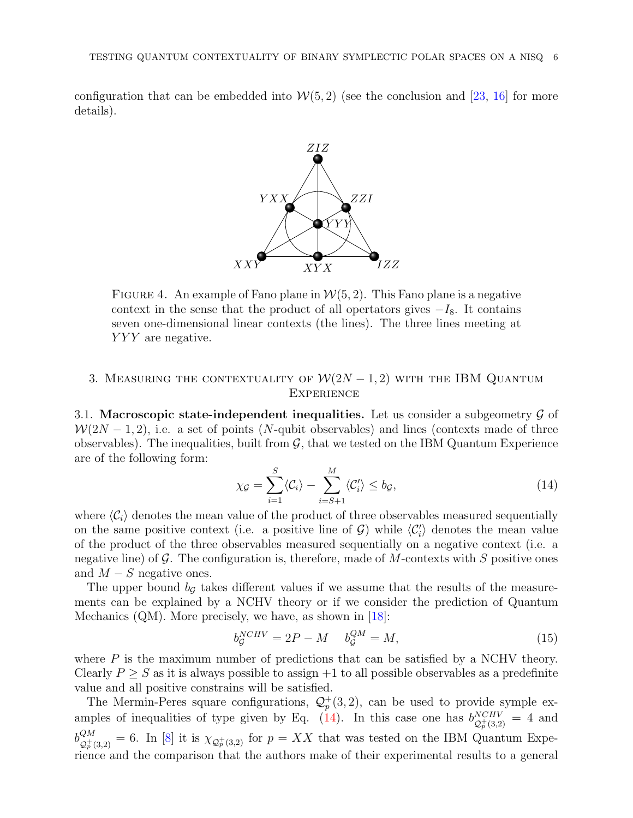configuration that can be embedded into  $W(5, 2)$  (see the conclusion and [\[23,](#page-10-22) [16\]](#page-10-15) for more details).



<span id="page-5-1"></span>FIGURE 4. An example of Fano plane in  $W(5, 2)$ . This Fano plane is a negative context in the sense that the product of all opertators gives  $-I_8$ . It contains seven one-dimensional linear contexts (the lines). The three lines meeting at YYY are negative.

## <span id="page-5-0"></span>3. MEASURING THE CONTEXTUALITY OF  $W(2N-1, 2)$  with the IBM QUANTUM **EXPERIENCE**

3.1. Macroscopic state-independent inequalities. Let us consider a subgeometry  $\mathcal G$  of  $W(2N-1, 2)$ , i.e. a set of points (N-qubit observables) and lines (contexts made of three observables). The inequalities, built from  $\mathcal{G}$ , that we tested on the IBM Quantum Experience are of the following form:

<span id="page-5-2"></span>
$$
\chi_{\mathcal{G}} = \sum_{i=1}^{S} \langle C_i \rangle - \sum_{i=S+1}^{M} \langle C'_i \rangle \le b_{\mathcal{G}},\tag{14}
$$

where  $\langle C_i \rangle$  denotes the mean value of the product of three observables measured sequentially on the same positive context (i.e. a positive line of  $G$ ) while  $\langle C_i' \rangle$  denotes the mean value of the product of the three observables measured sequentially on a negative context (i.e. a negative line) of  $\mathcal G$ . The configuration is, therefore, made of M-contexts with S positive ones and  $M - S$  negative ones.

The upper bound  $b_{\mathcal{G}}$  takes different values if we assume that the results of the measurements can be explained by a NCHV theory or if we consider the prediction of Quantum Mechanics (QM). More precisely, we have, as shown in [\[18\]](#page-10-17):

$$
b_{\mathcal{G}}^{NCHV} = 2P - M \t b_{\mathcal{G}}^{QM} = M,\t(15)
$$

where  $P$  is the maximum number of predictions that can be satisfied by a NCHV theory. Clearly  $P \geq S$  as it is always possible to assign  $+1$  to all possible observables as a predefinite value and all positive constrains will be satisfied.

The Mermin-Peres square configurations,  $\mathcal{Q}_p^+(3,2)$ , can be used to provide symple ex-amples of inequalities of type given by Eq. [\(14\)](#page-5-2). In this case one has  $b_{\alpha+\alpha}^{NCHV}$  $\frac{NCHV}{\mathcal{Q}_p^+(3,2)} = 4$  and  $b_{\Omega^+}^{QM}$  $\mathcal{Q}_{p}^{M}$  = 6. In [\[8\]](#page-10-7) it is  $\chi_{\mathcal{Q}_{p}^{+}(3,2)}$  for  $p = XX$  that was tested on the IBM Quantum Experience and the comparison that the authors make of their experimental results to a general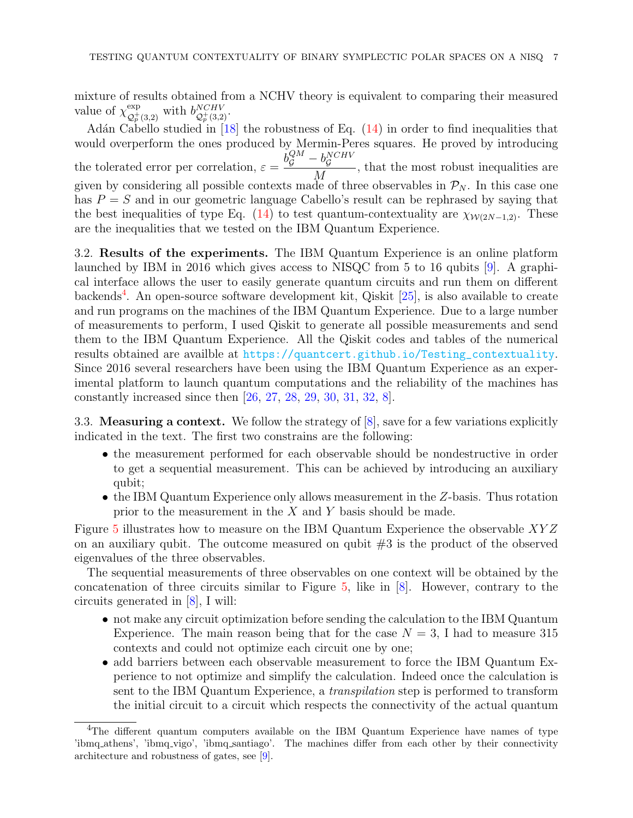mixture of results obtained from a NCHV theory is equivalent to comparing their measured value of  $\chi_{\mathcal{O}^+}^{\text{exp}}$  $\varphi_{p}^{\text{exp}}(3,2)}$  with  $b_{\mathcal{Q}_{p}^{+}(3,2)}^{NCHV}$  $\mathcal{Q}_p^+(3,2)$ .

Adán Cabello studied in  $[18]$  the robustness of Eq.  $(14)$  in order to find inequalities that would overperform the ones produced by Mermin-Peres squares. He proved by introducing the tolerated error per correlation,  $\varepsilon =$  $b_{\mathcal{G}}^{QM} - b_{\mathcal{G}}^{NCHV}$ M , that the most robust inequalities are given by considering all possible contexts made of three observables in  $\mathcal{P}_N$ . In this case one has  $P = S$  and in our geometric language Cabello's result can be rephrased by saying that the best inequalities of type Eq. [\(14\)](#page-5-2) to test quantum-contextuality are  $\chi_{W(2N-1,2)}$ . These are the inequalities that we tested on the IBM Quantum Experience.

3.2. Results of the experiments. The IBM Quantum Experience is an online platform launched by IBM in 2016 which gives access to NISQC from 5 to 16 qubits [\[9\]](#page-10-9). A graphical interface allows the user to easily generate quantum circuits and run them on different backends<sup>[4](#page-6-0)</sup>. An open-source software development kit, Qiskit [\[25\]](#page-10-24), is also available to create and run programs on the machines of the IBM Quantum Experience. Due to a large number of measurements to perform, I used Qiskit to generate all possible measurements and send them to the IBM Quantum Experience. All the Qiskit codes and tables of the numerical results obtained are availble at [https://quantcert.github.io/Testing\\_contextuality](https://quantcert.github.io/Testing_contextuality). Since 2016 several researchers have been using the IBM Quantum Experience as an experimental platform to launch quantum computations and the reliability of the machines has constantly increased since then [\[26,](#page-11-0) [27,](#page-11-1) [28,](#page-11-2) [29,](#page-11-3) [30,](#page-11-4) [31,](#page-11-5) [32,](#page-11-6) [8\]](#page-10-7).

3.3. Measuring a context. We follow the strategy of [\[8\]](#page-10-7), save for a few variations explicitly indicated in the text. The first two constrains are the following:

- the measurement performed for each observable should be nondestructive in order to get a sequential measurement. This can be achieved by introducing an auxiliary qubit;
- the IBM Quantum Experience only allows measurement in the Z-basis. Thus rotation prior to the measurement in the  $X$  and  $Y$  basis should be made.

Figure [5](#page-7-0) illustrates how to measure on the IBM Quantum Experience the observable XY Z on an auxiliary qubit. The outcome measured on qubit #3 is the product of the observed eigenvalues of the three observables.

The sequential measurements of three observables on one context will be obtained by the concatenation of three circuits similar to Figure [5,](#page-7-0) like in [\[8\]](#page-10-7). However, contrary to the circuits generated in [\[8\]](#page-10-7), I will:

- not make any circuit optimization before sending the calculation to the IBM Quantum Experience. The main reason being that for the case  $N = 3$ , I had to measure 315 contexts and could not optimize each circuit one by one;
- add barriers between each observable measurement to force the IBM Quantum Experience to not optimize and simplify the calculation. Indeed once the calculation is sent to the IBM Quantum Experience, a transpilation step is performed to transform the initial circuit to a circuit which respects the connectivity of the actual quantum

<span id="page-6-0"></span><sup>&</sup>lt;sup>4</sup>The different quantum computers available on the IBM Quantum Experience have names of type 'ibmq athens', 'ibmq vigo', 'ibmq santiago'. The machines differ from each other by their connectivity architecture and robustness of gates, see [\[9\]](#page-10-9).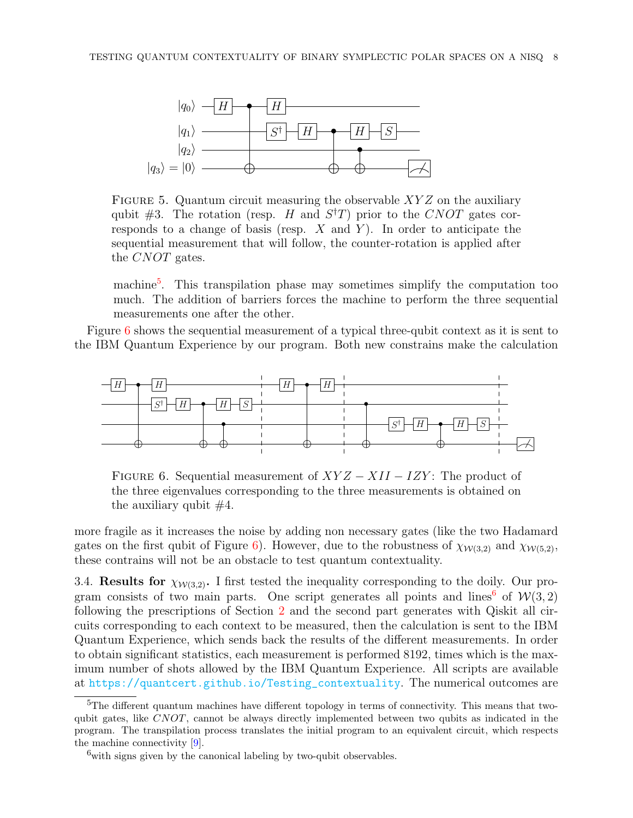

<span id="page-7-0"></span>FIGURE 5. Quantum circuit measuring the observable  $XYZ$  on the auxiliary qubit #3. The rotation (resp. H and  $S<sup>\dagger</sup>T$ ) prior to the CNOT gates corresponds to a change of basis (resp.  $X$  and  $Y$ ). In order to anticipate the sequential measurement that will follow, the counter-rotation is applied after the *CNOT* gates.

machine<sup>[5](#page-7-1)</sup>. This transpilation phase may sometimes simplify the computation too much. The addition of barriers forces the machine to perform the three sequential measurements one after the other.

Figure [6](#page-7-2) shows the sequential measurement of a typical three-qubit context as it is sent to the IBM Quantum Experience by our program. Both new constrains make the calculation



<span id="page-7-2"></span>FIGURE 6. Sequential measurement of  $XYZ - XII - IZY$ : The product of the three eigenvalues corresponding to the three measurements is obtained on the auxiliary qubit  $#4$ .

more fragile as it increases the noise by adding non necessary gates (like the two Hadamard gates on the first qubit of Figure [6\)](#page-7-2). However, due to the robustness of  $\chi_{W(3,2)}$  and  $\chi_{W(5,2)}$ , these contrains will not be an obstacle to test quantum contextuality.

3.4. Results for  $\chi_{W(3,2)}$ . I first tested the inequality corresponding to the doily. Our pro-gram consists of two main parts. One script generates all points and lines<sup>[6](#page-7-3)</sup> of  $W(3, 2)$ following the prescriptions of Section [2](#page-1-1) and the second part generates with Qiskit all circuits corresponding to each context to be measured, then the calculation is sent to the IBM Quantum Experience, which sends back the results of the different measurements. In order to obtain significant statistics, each measurement is performed 8192, times which is the maximum number of shots allowed by the IBM Quantum Experience. All scripts are available at [https://quantcert.github.io/Testing\\_contextuality](https://quantcert.github.io/Testing_contextuality). The numerical outcomes are

<span id="page-7-1"></span><sup>5</sup>The different quantum machines have different topology in terms of connectivity. This means that twoqubit gates, like CNOT, cannot be always directly implemented between two qubits as indicated in the program. The transpilation process translates the initial program to an equivalent circuit, which respects the machine connectivity [\[9\]](#page-10-9).

<span id="page-7-3"></span> $6$ with signs given by the canonical labeling by two-qubit observables.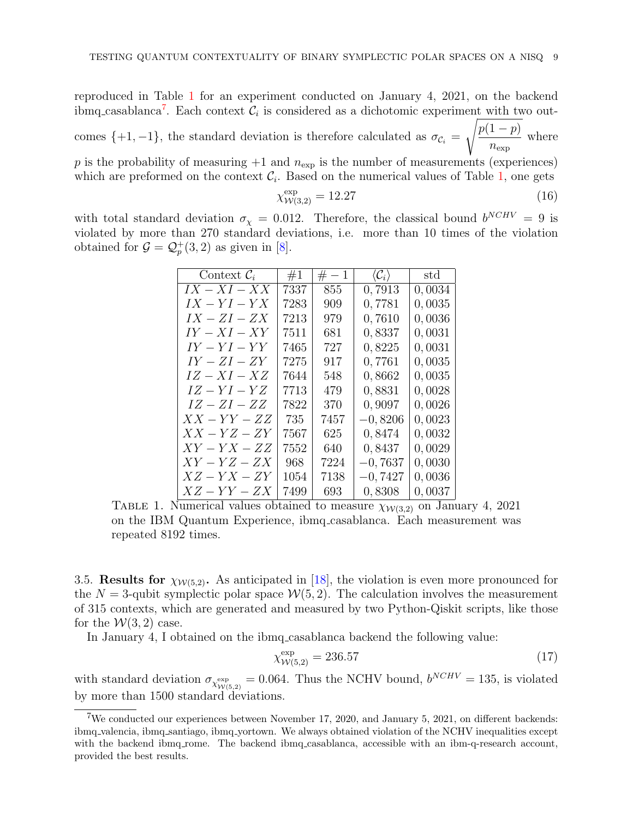reproduced in Table [1](#page-8-0) for an experiment conducted on January 4, 2021, on the backend ibmq casablanca<sup>[7](#page-8-1)</sup>. Each context  $\mathcal{C}_i$  is considered as a dichotomic experiment with two outcomes  $\{+1, -1\}$ , the standard deviation is therefore calculated as  $\sigma_{\mathcal{C}_i} =$  $\int p(1-p)$  $n_{\rm exp}$ where p is the probability of measuring  $+1$  and  $n_{\exp}$  is the number of measurements (experiences)

which are preformed on the context  $\mathcal{C}_i$ . Based on the numerical values of Table [1,](#page-8-0) one gets

$$
\chi^{\exp}_{\mathcal{W}(3,2)} = 12.27\tag{16}
$$

with total standard deviation  $\sigma_{\chi} = 0.012$ . Therefore, the classical bound  $b^{NCHV} = 9$  is violated by more than 270 standard deviations, i.e. more than 10 times of the violation obtained for  $\mathcal{G} = \mathcal{Q}_p^+(3,2)$  as given in [\[8\]](#page-10-7).

| Context $\mathcal{C}_i$ | #1   | $# - 1$ | $\langle {\cal C}_i \rangle$ | $_{\rm std}$ |
|-------------------------|------|---------|------------------------------|--------------|
| $IX - XI - XX$          | 7337 | 855     | 0,7913                       | 0,0034       |
| $IX-YI-YX$              | 7283 | 909     | 0,7781                       | 0,0035       |
| $IX-ZI-ZX$              | 7213 | 979     | 0,7610                       | 0,0036       |
| $IY - XI - XY$          | 7511 | 681     | 0,8337                       | 0,0031       |
| $IY-YI-YY$              | 7465 | 727     | 0,8225                       | 0,0031       |
| $IY-ZI-ZY$              | 7275 | 917     | 0,7761                       | 0,0035       |
| $IZ-XI-XZ$              | 7644 | 548     | 0,8662                       | 0,0035       |
| $IZ-YI-YZ$              | 7713 | 479     | 0,8831                       | 0,0028       |
| $IZ-ZI-ZZ$              | 7822 | 370     | 0,9097                       | 0,0026       |
| $XX-YY-ZZ$              | 735  | 7457    | $-0,8206$                    | 0,0023       |
| $XX-YZ-ZY$              | 7567 | 625     | 0,8474                       | 0,0032       |
| $XY-YX-ZZ$              | 7552 | 640     | 0,8437                       | 0,0029       |
| $XY-YZ-ZX$              | 968  | 7224    | $-0,7637$                    | 0,0030       |
| $XZ-YX-ZY$              | 1054 | 7138    | $-0,7427$                    | 0,0036       |
| $XZ - YY - ZX$          | 7499 | 693     | 0,8308                       | 0,0037       |

<span id="page-8-0"></span>TABLE 1. Numerical values obtained to measure  $\chi_{W(3,2)}$  on January 4, 2021 on the IBM Quantum Experience, ibmq casablanca. Each measurement was repeated 8192 times.

3.5. Results for  $\chi_{W(5,2)}$ . As anticipated in [\[18\]](#page-10-17), the violation is even more pronounced for the  $N = 3$ -qubit symplectic polar space  $W(5, 2)$ . The calculation involves the measurement of 315 contexts, which are generated and measured by two Python-Qiskit scripts, like those for the  $W(3, 2)$  case.

In January 4, I obtained on the ibmq casablanca backend the following value:

$$
\chi^{\text{exp}}_{\mathcal{W}(5,2)} = 236.57\tag{17}
$$

with standard deviation  $\sigma_{\chi_{W(5,2)}^{\exp}} = 0.064$ . Thus the NCHV bound,  $b^{NCHV} = 135$ , is violated by more than 1500 standard deviations.

<span id="page-8-1"></span><sup>7</sup>We conducted our experiences between November 17, 2020, and January 5, 2021, on different backends: ibmq valencia, ibmq santiago, ibmq yortown. We always obtained violation of the NCHV inequalities except with the backend ibmq rome. The backend ibmq casablanca, accessible with an ibm-q-research account, provided the best results.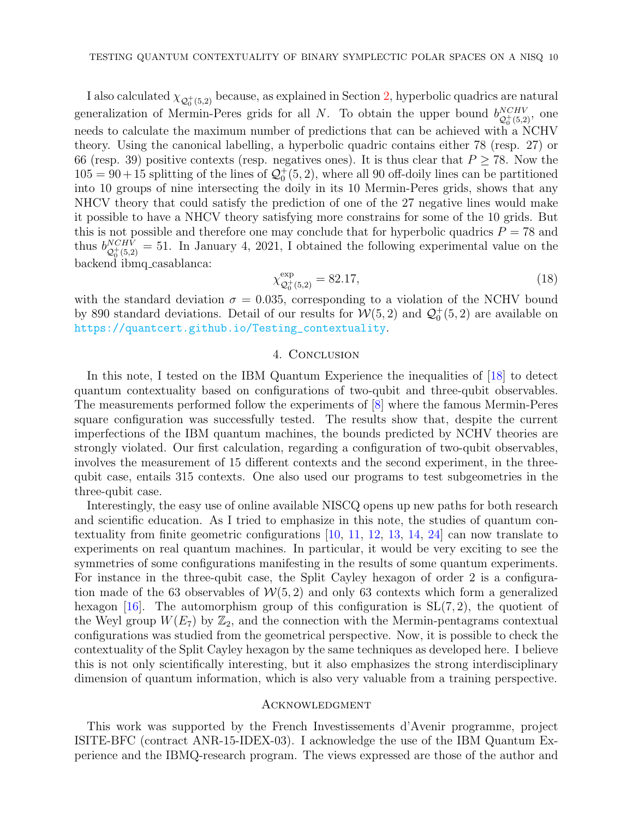I also calculated  $\chi_{\mathcal{Q}_0^+(5,2)}$  because, as explained in Section [2,](#page-1-1) hyperbolic quadrics are natural generalization of Mermin-Peres grids for all N. To obtain the upper bound  $b_{\alpha+\alpha}^{NCHV}$  $\frac{NCHV}{\mathcal{Q}_0^+(5,2)},$  one needs to calculate the maximum number of predictions that can be achieved with a NCHV theory. Using the canonical labelling, a hyperbolic quadric contains either 78 (resp. 27) or 66 (resp. 39) positive contexts (resp. negatives ones). It is thus clear that  $P \ge 78$ . Now the  $105 = 90 + 15$  splitting of the lines of  $\mathcal{Q}_0^+(5, 2)$ , where all 90 off-doily lines can be partitioned into 10 groups of nine intersecting the doily in its 10 Mermin-Peres grids, shows that any NHCV theory that could satisfy the prediction of one of the 27 negative lines would make it possible to have a NHCV theory satisfying more constrains for some of the 10 grids. But this is not possible and therefore one may conclude that for hyperbolic quadrics  $P = 78$  and thus  $b_{O^{+(5.9)}}^{NCHV}$  $\mathcal{Q}_{\phi}^{NCHV}$  = 51. In January 4, 2021, I obtained the following experimental value on the backend ibmq casablanca:

$$
\chi^{\exp}_{Q_0^+(5,2)} = 82.17,\tag{18}
$$

with the standard deviation  $\sigma = 0.035$ , corresponding to a violation of the NCHV bound by 890 standard deviations. Detail of our results for  $W(5, 2)$  and  $\mathcal{Q}_0^+(5, 2)$  are available on [https://quantcert.github.io/Testing\\_contextuality](https://quantcert.github.io/Testing_contextuality).

### 4. Conclusion

<span id="page-9-0"></span>In this note, I tested on the IBM Quantum Experience the inequalities of [\[18\]](#page-10-17) to detect quantum contextuality based on configurations of two-qubit and three-qubit observables. The measurements performed follow the experiments of [\[8\]](#page-10-7) where the famous Mermin-Peres square configuration was successfully tested. The results show that, despite the current imperfections of the IBM quantum machines, the bounds predicted by NCHV theories are strongly violated. Our first calculation, regarding a configuration of two-qubit observables, involves the measurement of 15 different contexts and the second experiment, in the threequbit case, entails 315 contexts. One also used our programs to test subgeometries in the three-qubit case.

Interestingly, the easy use of online available NISCQ opens up new paths for both research and scientific education. As I tried to emphasize in this note, the studies of quantum contextuality from finite geometric configurations  $[10, 11, 12, 13, 14, 24]$  $[10, 11, 12, 13, 14, 24]$  $[10, 11, 12, 13, 14, 24]$  $[10, 11, 12, 13, 14, 24]$  $[10, 11, 12, 13, 14, 24]$  $[10, 11, 12, 13, 14, 24]$  $[10, 11, 12, 13, 14, 24]$  $[10, 11, 12, 13, 14, 24]$  $[10, 11, 12, 13, 14, 24]$  $[10, 11, 12, 13, 14, 24]$  $[10, 11, 12, 13, 14, 24]$  can now translate to experiments on real quantum machines. In particular, it would be very exciting to see the symmetries of some configurations manifesting in the results of some quantum experiments. For instance in the three-qubit case, the Split Cayley hexagon of order 2 is a configuration made of the 63 observables of  $W(5, 2)$  and only 63 contexts which form a generalized hexagon [\[16\]](#page-10-15). The automorphism group of this configuration is  $SL(7, 2)$ , the quotient of the Weyl group  $W(E_7)$  by  $\mathbb{Z}_2$ , and the connection with the Mermin-pentagrams contextual configurations was studied from the geometrical perspective. Now, it is possible to check the contextuality of the Split Cayley hexagon by the same techniques as developed here. I believe this is not only scientifically interesting, but it also emphasizes the strong interdisciplinary dimension of quantum information, which is also very valuable from a training perspective.

#### **ACKNOWLEDGMENT**

This work was supported by the French Investissements d'Avenir programme, project ISITE-BFC (contract ANR-15-IDEX-03). I acknowledge the use of the IBM Quantum Experience and the IBMQ-research program. The views expressed are those of the author and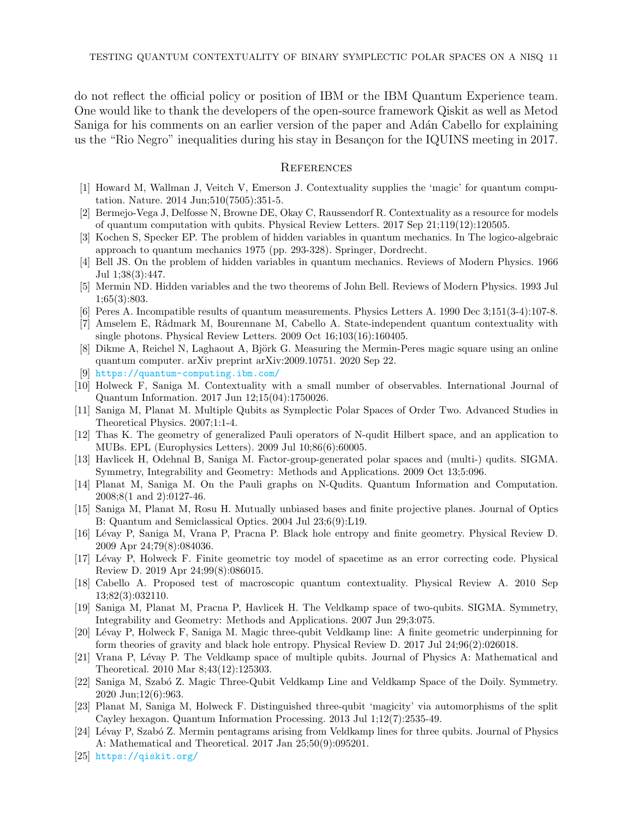do not reflect the official policy or position of IBM or the IBM Quantum Experience team. One would like to thank the developers of the open-source framework Qiskit as well as Metod Saniga for his comments on an earlier version of the paper and Adán Cabello for explaining us the "Rio Negro" inequalities during his stay in Besançon for the IQUINS meeting in 2017.

#### **REFERENCES**

- <span id="page-10-0"></span>[1] Howard M, Wallman J, Veitch V, Emerson J. Contextuality supplies the 'magic' for quantum computation. Nature. 2014 Jun;510(7505):351-5.
- <span id="page-10-1"></span>[2] Bermejo-Vega J, Delfosse N, Browne DE, Okay C, Raussendorf R. Contextuality as a resource for models of quantum computation with qubits. Physical Review Letters. 2017 Sep 21;119(12):120505.
- <span id="page-10-3"></span>[3] Kochen S, Specker EP. The problem of hidden variables in quantum mechanics. In The logico-algebraic approach to quantum mechanics 1975 (pp. 293-328). Springer, Dordrecht.
- <span id="page-10-2"></span>[4] Bell JS. On the problem of hidden variables in quantum mechanics. Reviews of Modern Physics. 1966 Jul 1;38(3):447.
- <span id="page-10-4"></span>[5] Mermin ND. Hidden variables and the two theorems of John Bell. Reviews of Modern Physics. 1993 Jul 1;65(3):803.
- <span id="page-10-5"></span>[6] Peres A. Incompatible results of quantum measurements. Physics Letters A. 1990 Dec 3;151(3-4):107-8.
- <span id="page-10-6"></span>[7] Amselem E, Rådmark M, Bourennane M, Cabello A. State-independent quantum contextuality with single photons. Physical Review Letters. 2009 Oct 16;103(16):160405.
- <span id="page-10-7"></span>[8] Dikme A, Reichel N, Laghaout A, Björk G. Measuring the Mermin-Peres magic square using an online quantum computer. arXiv preprint arXiv:2009.10751. 2020 Sep 22.
- <span id="page-10-9"></span>[9] <https://quantum-computing.ibm.com/>
- <span id="page-10-8"></span>[10] Holweck F, Saniga M. Contextuality with a small number of observables. International Journal of Quantum Information. 2017 Jun 12;15(04):1750026.
- <span id="page-10-10"></span>[11] Saniga M, Planat M. Multiple Qubits as Symplectic Polar Spaces of Order Two. Advanced Studies in Theoretical Physics. 2007;1:1-4.
- <span id="page-10-11"></span>[12] Thas K. The geometry of generalized Pauli operators of N-qudit Hilbert space, and an application to MUBs. EPL (Europhysics Letters). 2009 Jul 10;86(6):60005.
- <span id="page-10-12"></span>[13] Havlicek H, Odehnal B, Saniga M. Factor-group-generated polar spaces and (multi-) qudits. SIGMA. Symmetry, Integrability and Geometry: Methods and Applications. 2009 Oct 13;5:096.
- <span id="page-10-13"></span>[14] Planat M, Saniga M. On the Pauli graphs on N-Qudits. Quantum Information and Computation. 2008;8(1 and 2):0127-46.
- <span id="page-10-14"></span>[15] Saniga M, Planat M, Rosu H. Mutually unbiased bases and finite projective planes. Journal of Optics B: Quantum and Semiclassical Optics. 2004 Jul 23;6(9):L19.
- <span id="page-10-15"></span>[16] L´evay P, Saniga M, Vrana P, Pracna P. Black hole entropy and finite geometry. Physical Review D. 2009 Apr 24;79(8):084036.
- <span id="page-10-16"></span>[17] Lévay P, Holweck F. Finite geometric toy model of spacetime as an error correcting code. Physical Review D. 2019 Apr 24;99(8):086015.
- <span id="page-10-17"></span>[18] Cabello A. Proposed test of macroscopic quantum contextuality. Physical Review A. 2010 Sep 13;82(3):032110.
- <span id="page-10-18"></span>[19] Saniga M, Planat M, Pracna P, Havlicek H. The Veldkamp space of two-qubits. SIGMA. Symmetry, Integrability and Geometry: Methods and Applications. 2007 Jun 29;3:075.
- <span id="page-10-19"></span>[20] L´evay P, Holweck F, Saniga M. Magic three-qubit Veldkamp line: A finite geometric underpinning for form theories of gravity and black hole entropy. Physical Review D. 2017 Jul 24;96(2):026018.
- <span id="page-10-20"></span>[21] Vrana P, Lévay P. The Veldkamp space of multiple qubits. Journal of Physics A: Mathematical and Theoretical. 2010 Mar 8;43(12):125303.
- <span id="page-10-21"></span>[22] Saniga M, Szabó Z. Magic Three-Qubit Veldkamp Line and Veldkamp Space of the Doily. Symmetry. 2020 Jun;12(6):963.
- <span id="page-10-22"></span>[23] Planat M, Saniga M, Holweck F. Distinguished three-qubit 'magicity' via automorphisms of the split Cayley hexagon. Quantum Information Processing. 2013 Jul 1;12(7):2535-49.
- <span id="page-10-23"></span>[24] Lévay P, Szabó Z. Mermin pentagrams arising from Veldkamp lines for three qubits. Journal of Physics A: Mathematical and Theoretical. 2017 Jan 25;50(9):095201.
- <span id="page-10-24"></span>[25] <https://qiskit.org/>